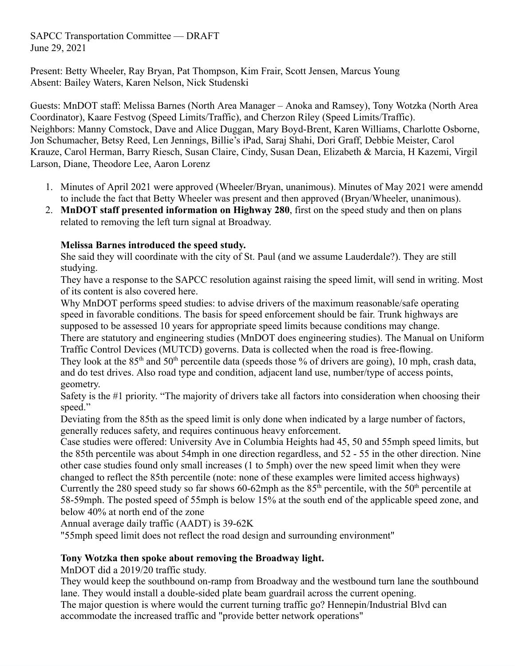SAPCC Transportation Committee — DRAFT June 29, 2021

Present: Betty Wheeler, Ray Bryan, Pat Thompson, Kim Frair, Scott Jensen, Marcus Young Absent: Bailey Waters, Karen Nelson, Nick Studenski

Guests: MnDOT staff: Melissa Barnes (North Area Manager – Anoka and Ramsey), Tony Wotzka (North Area Coordinator), Kaare Festvog (Speed Limits/Traffic), and Cherzon Riley (Speed Limits/Traffic). Neighbors: Manny Comstock, Dave and Alice Duggan, Mary Boyd-Brent, Karen Williams, Charlotte Osborne, Jon Schumacher, Betsy Reed, Len Jennings, Billie's iPad, Saraj Shahi, Dori Graff, Debbie Meister, Carol Krauze, Carol Herman, Barry Riesch, Susan Claire, Cindy, Susan Dean, Elizabeth & Marcia, H Kazemi, Virgil Larson, Diane, Theodore Lee, Aaron Lorenz

- 1. Minutes of April 2021 were approved (Wheeler/Bryan, unanimous). Minutes of May 2021 were amendd to include the fact that Betty Wheeler was present and then approved (Bryan/Wheeler, unanimous).
- 2. **MnDOT staff presented information on Highway 280**, first on the speed study and then on plans related to removing the left turn signal at Broadway.

# **Melissa Barnes introduced the speed study.**

She said they will coordinate with the city of St. Paul (and we assume Lauderdale?). They are still studying.

They have a response to the SAPCC resolution against raising the speed limit, will send in writing. Most of its content is also covered here.

Why MnDOT performs speed studies: to advise drivers of the maximum reasonable/safe operating speed in favorable conditions. The basis for speed enforcement should be fair. Trunk highways are supposed to be assessed 10 years for appropriate speed limits because conditions may change.

There are statutory and engineering studies (MnDOT does engineering studies). The Manual on Uniform Traffic Control Devices (MUTCD) governs. Data is collected when the road is free-flowing.

They look at the  $85<sup>th</sup>$  and  $50<sup>th</sup>$  percentile data (speeds those % of drivers are going), 10 mph, crash data, and do test drives. Also road type and condition, adjacent land use, number/type of access points, geometry.

Safety is the #1 priority. "The majority of drivers take all factors into consideration when choosing their speed."

Deviating from the 85th as the speed limit is only done when indicated by a large number of factors, generally reduces safety, and requires continuous heavy enforcement.

Case studies were offered: University Ave in Columbia Heights had 45, 50 and 55mph speed limits, but the 85th percentile was about 54mph in one direction regardless, and 52 - 55 in the other direction. Nine other case studies found only small increases (1 to 5mph) over the new speed limit when they were changed to reflect the 85th percentile (note: none of these examples were limited access highways) Currently the 280 speed study so far shows 60-62mph as the  $85<sup>th</sup>$  percentile, with the 50<sup>th</sup> percentile at 58-59mph. The posted speed of 55mph is below 15% at the south end of the applicable speed zone, and below 40% at north end of the zone

Annual average daily traffic (AADT) is 39-62K

"55mph speed limit does not reflect the road design and surrounding environment"

# **Tony Wotzka then spoke about removing the Broadway light.**

MnDOT did a 2019/20 traffic study.

They would keep the southbound on-ramp from Broadway and the westbound turn lane the southbound lane. They would install a double-sided plate beam guardrail across the current opening.

The major question is where would the current turning traffic go? Hennepin/Industrial Blvd can accommodate the increased traffic and "provide better network operations"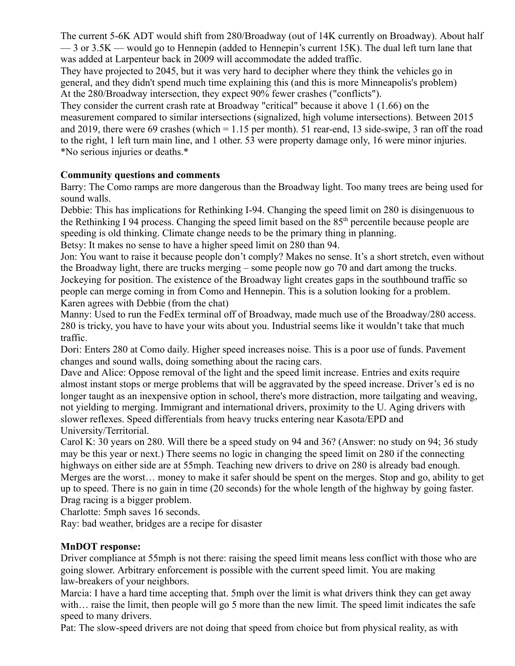The current 5-6K ADT would shift from 280/Broadway (out of 14K currently on Broadway). About half  $-3$  or 3.5K — would go to Hennepin (added to Hennepin's current 15K). The dual left turn lane that was added at Larpenteur back in 2009 will accommodate the added traffic.

They have projected to 2045, but it was very hard to decipher where they think the vehicles go in general, and they didn't spend much time explaining this (and this is more Minneapolis's problem) At the 280/Broadway intersection, they expect 90% fewer crashes ("conflicts").

They consider the current crash rate at Broadway "critical" because it above 1 (1.66) on the measurement compared to similar intersections (signalized, high volume intersections). Between 2015 and 2019, there were 69 crashes (which = 1.15 per month). 51 rear-end, 13 side-swipe, 3 ran off the road to the right, 1 left turn main line, and 1 other. 53 were property damage only, 16 were minor injuries. \*No serious injuries or deaths.\*

### **Community questions and comments**

Barry: The Como ramps are more dangerous than the Broadway light. Too many trees are being used for sound walls.

Debbie: This has implications for Rethinking I-94. Changing the speed limit on 280 is disingenuous to the Rethinking I 94 process. Changing the speed limit based on the 85<sup>th</sup> percentile because people are speeding is old thinking. Climate change needs to be the primary thing in planning. Betsy: It makes no sense to have a higher speed limit on 280 than 94.

Jon: You want to raise it because people don't comply? Makes no sense. It's a short stretch, even without the Broadway light, there are trucks merging – some people now go 70 and dart among the trucks. Jockeying for position. The existence of the Broadway light creates gaps in the southbound traffic so people can merge coming in from Como and Hennepin. This is a solution looking for a problem. Karen agrees with Debbie (from the chat)

Manny: Used to run the FedEx terminal off of Broadway, made much use of the Broadway/280 access. 280 is tricky, you have to have your wits about you. Industrial seems like it wouldn't take that much traffic.

Dori: Enters 280 at Como daily. Higher speed increases noise. This is a poor use of funds. Pavement changes and sound walls, doing something about the racing cars.

Dave and Alice: Oppose removal of the light and the speed limit increase. Entries and exits require almost instant stops or merge problems that will be aggravated by the speed increase. Driver's ed is no longer taught as an inexpensive option in school, there's more distraction, more tailgating and weaving, not yielding to merging. Immigrant and international drivers, proximity to the U. Aging drivers with slower reflexes. Speed differentials from heavy trucks entering near Kasota/EPD and University/Territorial.

Carol K: 30 years on 280. Will there be a speed study on 94 and 36? (Answer: no study on 94; 36 study may be this year or next.) There seems no logic in changing the speed limit on 280 if the connecting highways on either side are at 55mph. Teaching new drivers to drive on 280 is already bad enough. Merges are the worst… money to make it safer should be spent on the merges. Stop and go, ability to get up to speed. There is no gain in time (20 seconds) for the whole length of the highway by going faster. Drag racing is a bigger problem.

Charlotte: 5mph saves 16 seconds.

Ray: bad weather, bridges are a recipe for disaster

# **MnDOT response:**

Driver compliance at 55mph is not there: raising the speed limit means less conflict with those who are going slower. Arbitrary enforcement is possible with the current speed limit. You are making law-breakers of your neighbors.

Marcia: I have a hard time accepting that. 5mph over the limit is what drivers think they can get away with... raise the limit, then people will go 5 more than the new limit. The speed limit indicates the safe speed to many drivers.

Pat: The slow-speed drivers are not doing that speed from choice but from physical reality, as with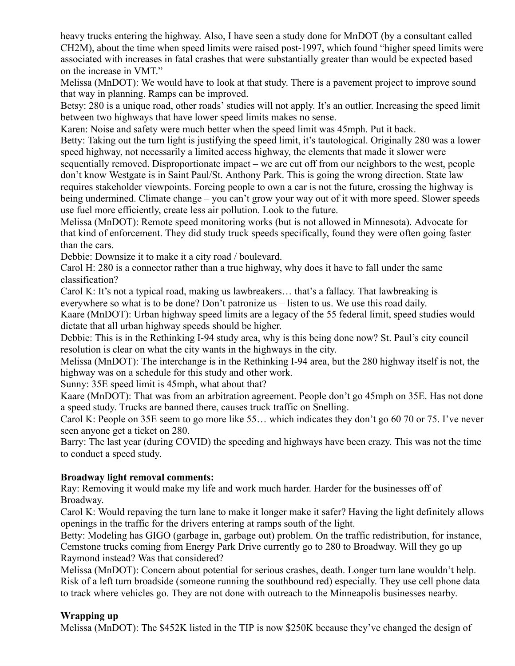heavy trucks entering the highway. Also, I have seen a study done for MnDOT (by a consultant called CH2M), about the time when speed limits were raised post-1997, which found "higher speed limits were associated with increases in fatal crashes that were substantially greater than would be expected based on the increase in VMT."

Melissa (MnDOT): We would have to look at that study. There is a pavement project to improve sound that way in planning. Ramps can be improved.

Betsy: 280 is a unique road, other roads' studies will not apply. It's an outlier. Increasing the speed limit between two highways that have lower speed limits makes no sense.

Karen: Noise and safety were much better when the speed limit was 45mph. Put it back.

Betty: Taking out the turn light is justifying the speed limit, it's tautological. Originally 280 was a lower speed highway, not necessarily a limited access highway, the elements that made it slower were

sequentially removed. Disproportionate impact – we are cut off from our neighbors to the west, people don't know Westgate is in Saint Paul/St. Anthony Park. This is going the wrong direction. State law requires stakeholder viewpoints. Forcing people to own a car is not the future, crossing the highway is being undermined. Climate change – you can't grow your way out of it with more speed. Slower speeds use fuel more efficiently, create less air pollution. Look to the future.

Melissa (MnDOT): Remote speed monitoring works (but is not allowed in Minnesota). Advocate for that kind of enforcement. They did study truck speeds specifically, found they were often going faster than the cars.

Debbie: Downsize it to make it a city road / boulevard.

Carol H: 280 is a connector rather than a true highway, why does it have to fall under the same classification?

Carol K: It's not a typical road, making us lawbreakers… that's a fallacy. That lawbreaking is everywhere so what is to be done? Don't patronize us – listen to us. We use this road daily.

Kaare (MnDOT): Urban highway speed limits are a legacy of the 55 federal limit, speed studies would dictate that all urban highway speeds should be higher.

Debbie: This is in the Rethinking I-94 study area, why is this being done now? St. Paul's city council resolution is clear on what the city wants in the highways in the city.

Melissa (MnDOT): The interchange is in the Rethinking I-94 area, but the 280 highway itself is not, the highway was on a schedule for this study and other work.

Sunny: 35E speed limit is 45mph, what about that?

Kaare (MnDOT): That was from an arbitration agreement. People don't go 45mph on 35E. Has not done a speed study. Trucks are banned there, causes truck traffic on Snelling.

Carol K: People on 35E seem to go more like 55… which indicates they don't go 60 70 or 75. I've never seen anyone get a ticket on 280.

Barry: The last year (during COVID) the speeding and highways have been crazy. This was not the time to conduct a speed study.

### **Broadway light removal comments:**

Ray: Removing it would make my life and work much harder. Harder for the businesses off of Broadway.

Carol K: Would repaving the turn lane to make it longer make it safer? Having the light definitely allows openings in the traffic for the drivers entering at ramps south of the light.

Betty: Modeling has GIGO (garbage in, garbage out) problem. On the traffic redistribution, for instance, Cemstone trucks coming from Energy Park Drive currently go to 280 to Broadway. Will they go up Raymond instead? Was that considered?

Melissa (MnDOT): Concern about potential for serious crashes, death. Longer turn lane wouldn't help. Risk of a left turn broadside (someone running the southbound red) especially. They use cell phone data to track where vehicles go. They are not done with outreach to the Minneapolis businesses nearby.

### **Wrapping up**

Melissa (MnDOT): The \$452K listed in the TIP is now \$250K because they've changed the design of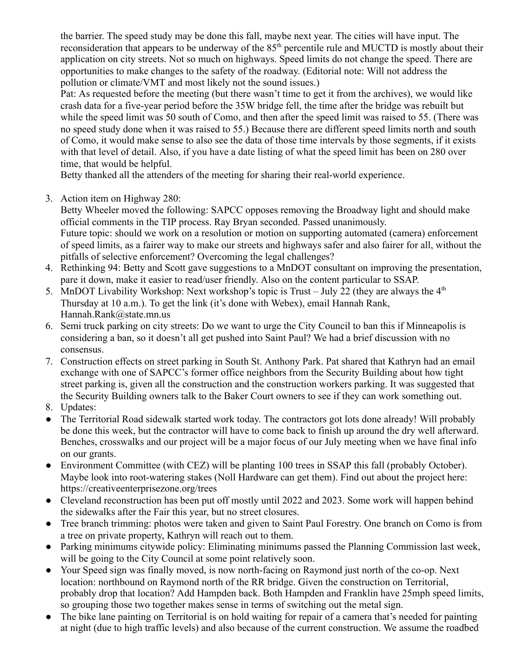the barrier. The speed study may be done this fall, maybe next year. The cities will have input. The reconsideration that appears to be underway of the 85<sup>th</sup> percentile rule and MUCTD is mostly about their application on city streets. Not so much on highways. Speed limits do not change the speed. There are opportunities to make changes to the safety of the roadway. (Editorial note: Will not address the pollution or climate/VMT and most likely not the sound issues.)

Pat: As requested before the meeting (but there wasn't time to get it from the archives), we would like crash data for a five-year period before the 35W bridge fell, the time after the bridge was rebuilt but while the speed limit was 50 south of Como, and then after the speed limit was raised to 55. (There was no speed study done when it was raised to 55.) Because there are different speed limits north and south of Como, it would make sense to also see the data of those time intervals by those segments, if it exists with that level of detail. Also, if you have a date listing of what the speed limit has been on 280 over time, that would be helpful.

Betty thanked all the attenders of the meeting for sharing their real-world experience.

3. Action item on Highway 280:

Betty Wheeler moved the following: SAPCC opposes removing the Broadway light and should make official comments in the TIP process. Ray Bryan seconded. Passed unanimously. Future topic: should we work on a resolution or motion on supporting automated (camera) enforcement of speed limits, as a fairer way to make our streets and highways safer and also fairer for all, without the pitfalls of selective enforcement? Overcoming the legal challenges?

- 4. Rethinking 94: Betty and Scott gave suggestions to a MnDOT consultant on improving the presentation, pare it down, make it easier to read/user friendly. Also on the content particular to SSAP.
- 5. MnDOT Livability Workshop: Next workshop's topic is Trust July 22 (they are always the  $4<sup>th</sup>$ Thursday at 10 a.m.). To get the link (it's done with Webex), email Hannah Rank, Hannah.Rank@state.mn.us
- 6. Semi truck parking on city streets: Do we want to urge the City Council to ban this if Minneapolis is considering a ban, so it doesn't all get pushed into Saint Paul? We had a brief discussion with no consensus.
- 7. Construction effects on street parking in South St. Anthony Park. Pat shared that Kathryn had an email exchange with one of SAPCC's former office neighbors from the Security Building about how tight street parking is, given all the construction and the construction workers parking. It was suggested that the Security Building owners talk to the Baker Court owners to see if they can work something out.
- 8. Updates:
- The Territorial Road sidewalk started work today. The contractors got lots done already! Will probably be done this week, but the contractor will have to come back to finish up around the dry well afterward. Benches, crosswalks and our project will be a major focus of our July meeting when we have final info on our grants.
- Environment Committee (with CEZ) will be planting 100 trees in SSAP this fall (probably October). Maybe look into root-watering stakes (Noll Hardware can get them). Find out about the project here: https://creativeenterprisezone.org/trees
- Cleveland reconstruction has been put off mostly until 2022 and 2023. Some work will happen behind the sidewalks after the Fair this year, but no street closures.
- Tree branch trimming: photos were taken and given to Saint Paul Forestry. One branch on Como is from a tree on private property, Kathryn will reach out to them.
- Parking minimums citywide policy: Eliminating minimums passed the Planning Commission last week, will be going to the City Council at some point relatively soon.
- Your Speed sign was finally moved, is now north-facing on Raymond just north of the co-op. Next location: northbound on Raymond north of the RR bridge. Given the construction on Territorial, probably drop that location? Add Hampden back. Both Hampden and Franklin have 25mph speed limits, so grouping those two together makes sense in terms of switching out the metal sign.
- The bike lane painting on Territorial is on hold waiting for repair of a camera that's needed for painting at night (due to high traffic levels) and also because of the current construction. We assume the roadbed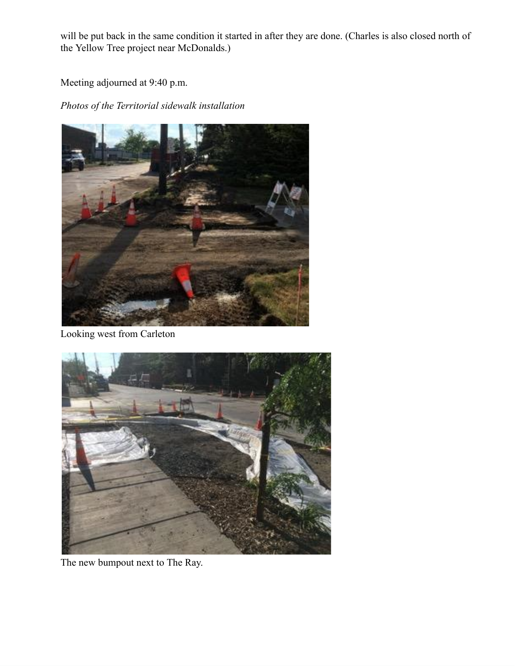will be put back in the same condition it started in after they are done. (Charles is also closed north of the Yellow Tree project near McDonalds.)

Meeting adjourned at 9:40 p.m.

*Photos of the Territorial sidewalk installation*



Looking west from Carleton



The new bumpout next to The Ray.